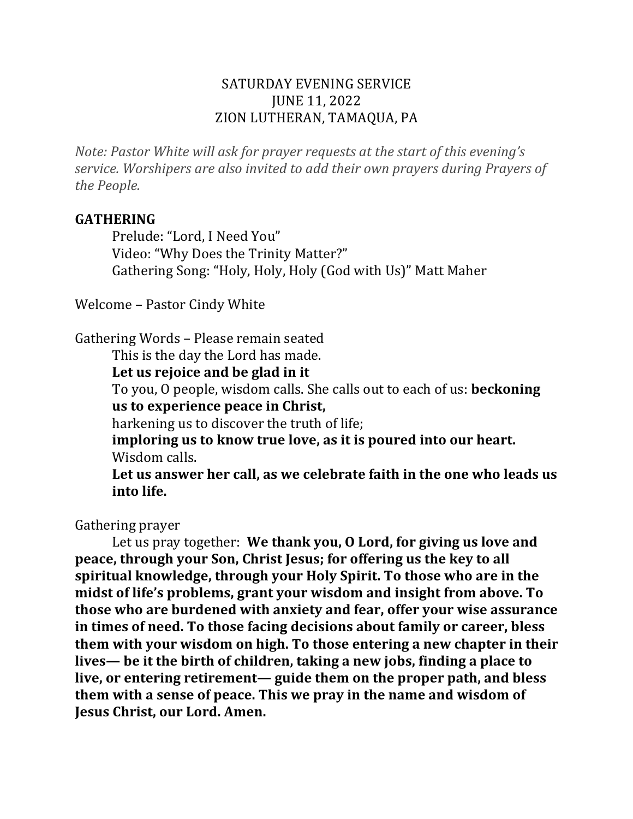#### SATURDAY EVENING SERVICE **JUNE 11, 2022** ZION LUTHERAN, TAMAQUA, PA

*Note: Pastor White will ask for prayer requests at the start of this evening's service.* Worshipers are also invited to add their own prayers during Prayers of *the People.*

#### **GATHERING**

Prelude: "Lord, I Need You" Video: "Why Does the Trinity Matter?" Gathering Song: "Holy, Holy, Holy (God with Us)" Matt Maher

Welcome – Pastor Cindy White

Gathering Words - Please remain seated

This is the day the Lord has made.

Let us rejoice and be glad in it

To you, O people, wisdom calls. She calls out to each of us: **beckoning** us to experience peace in Christ,

harkening us to discover the truth of life;

imploring us to know true love, as it is poured into our heart. Wisdom calls.

Let us answer her call, as we celebrate faith in the one who leads us **into life.**

Gathering prayer

Let us pray together: We thank you, O Lord, for giving us love and **peace, through your Son, Christ Jesus; for offering us the key to all** spiritual knowledge, through your Holy Spirit. To those who are in the midst of life's problems, grant your wisdom and insight from above. To those who are burdened with anxiety and fear, offer your wise assurance in times of need. To those facing decisions about family or career, bless **them with your wisdom on high. To those entering a new chapter in their** lives— be it the birth of children, taking a new jobs, finding a place to live, or entering retirement— guide them on the proper path, and bless them with a sense of peace. This we pray in the name and wisdom of **Jesus Christ, our Lord. Amen.**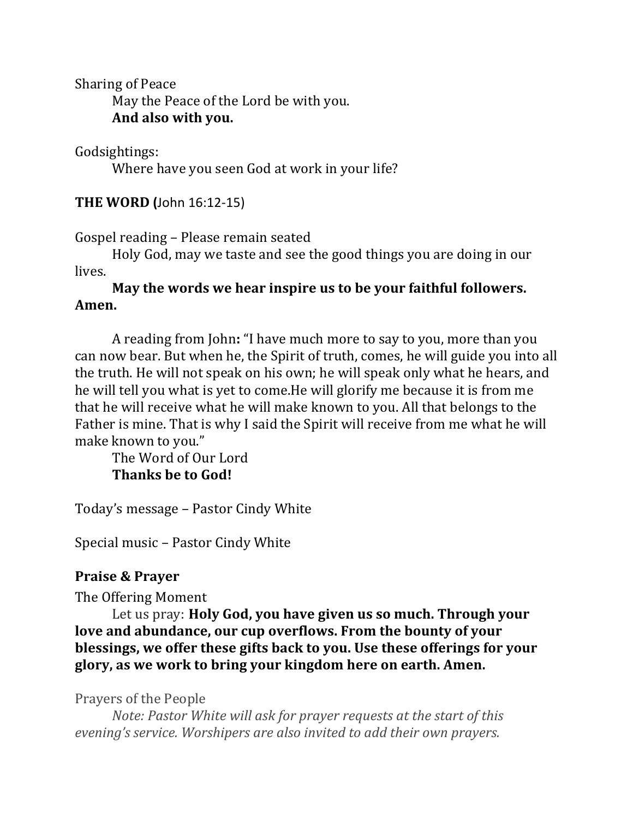Sharing of Peace

May the Peace of the Lord be with you. **And also with you.**

Godsightings:

Where have you seen God at work in your life?

**THE WORD (**John 16:12-15)

Gospel reading – Please remain seated

Holy God, may we taste and see the good things you are doing in our lives.

## May the words we hear inspire us to be your faithful followers. **Amen.**

A reading from John: "I have much more to say to you, more than you can now bear. But when he, the Spirit of truth, comes, he will guide you into all the truth. He will not speak on his own; he will speak only what he hears, and he will tell you what is yet to come. He will glorify me because it is from me that he will receive what he will make known to you. All that belongs to the Father is mine. That is why I said the Spirit will receive from me what he will make known to you."

The Word of Our Lord **Thanks be to God!** 

Today's message – Pastor Cindy White

Special music - Pastor Cindy White

#### **Praise & Prayer**

The Offering Moment

Let us pray: **Holy God, you have given us so much. Through your** love and abundance, our cup overflows. From the bounty of your **blessings, we offer these gifts back to you. Use these offerings for your** glory, as we work to bring your kingdom here on earth. Amen.

Prayers of the People

*Note: Pastor White will ask for prayer requests at the start of this evening's service.* Worshipers are also invited to add their own prayers.